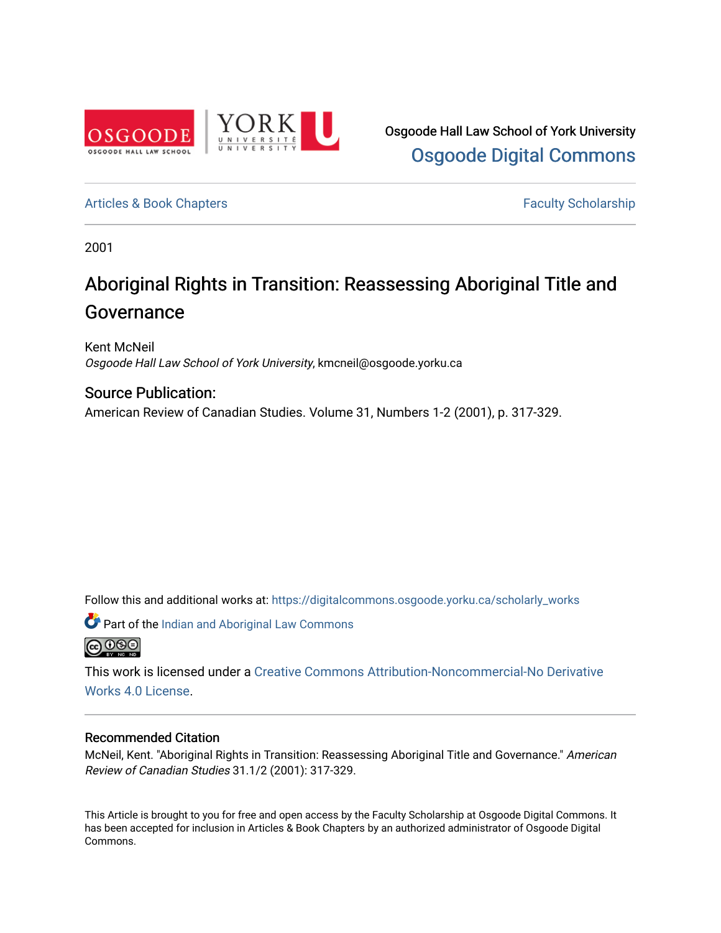

Osgoode Hall Law School of York University [Osgoode Digital Commons](https://digitalcommons.osgoode.yorku.ca/) 

[Articles & Book Chapters](https://digitalcommons.osgoode.yorku.ca/scholarly_works) **Faculty Scholarship Faculty Scholarship** 

2001

# Aboriginal Rights in Transition: Reassessing Aboriginal Title and Governance

Kent McNeil Osgoode Hall Law School of York University, kmcneil@osgoode.yorku.ca

# Source Publication:

American Review of Canadian Studies. Volume 31, Numbers 1-2 (2001), p. 317-329.

Follow this and additional works at: [https://digitalcommons.osgoode.yorku.ca/scholarly\\_works](https://digitalcommons.osgoode.yorku.ca/scholarly_works?utm_source=digitalcommons.osgoode.yorku.ca%2Fscholarly_works%2F1205&utm_medium=PDF&utm_campaign=PDFCoverPages) 

 $\bullet$  Part of the Indian and Aboriginal Law Commons **@** 000

This work is licensed under a [Creative Commons Attribution-Noncommercial-No Derivative](https://creativecommons.org/licenses/by-nc-nd/4.0/)  [Works 4.0 License](https://creativecommons.org/licenses/by-nc-nd/4.0/).

# Recommended Citation

McNeil, Kent. "Aboriginal Rights in Transition: Reassessing Aboriginal Title and Governance." American Review of Canadian Studies 31.1/2 (2001): 317-329.

This Article is brought to you for free and open access by the Faculty Scholarship at Osgoode Digital Commons. It has been accepted for inclusion in Articles & Book Chapters by an authorized administrator of Osgoode Digital Commons.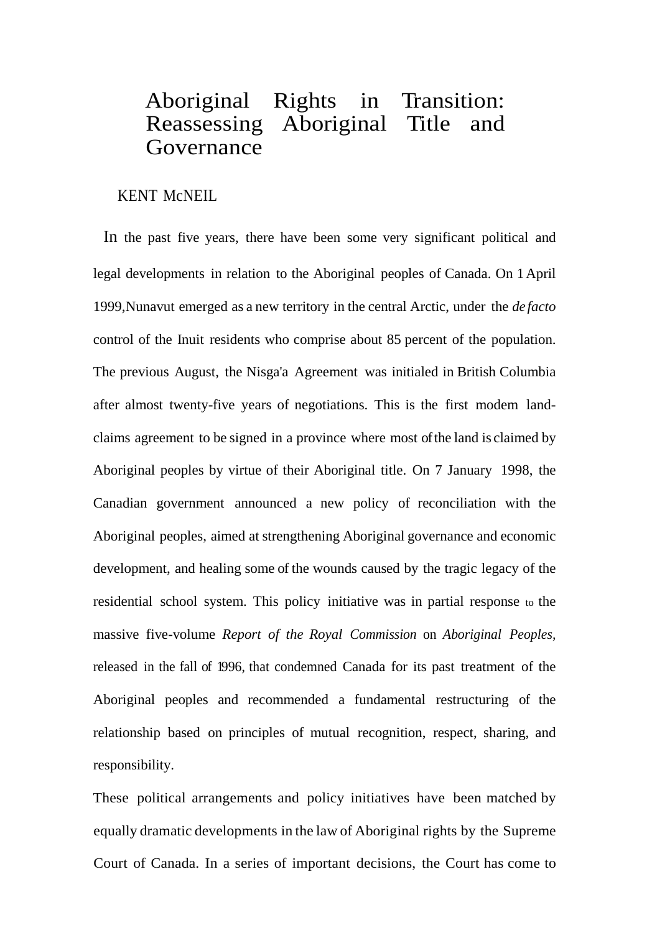# Aboriginal Rights in Transition: Reassessing Aboriginal Title and Governance

# KENT McNEIL

In the past five years, there have been some very significant political and legal developments in relation to the Aboriginal peoples of Canada. On 1April 1999,Nunavut emerged as a new territory in the central Arctic, under the *de facto* control of the Inuit residents who comprise about 85 percent of the population. The previous August, the Nisga'a Agreement was initialed in British Columbia after almost twenty-five years of negotiations. This is the first modem landclaims agreement to be signed in a province where most ofthe land is claimed by Aboriginal peoples by virtue of their Aboriginal title. On 7 January 1998, the Canadian government announced a new policy of reconciliation with the Aboriginal peoples, aimed at strengthening Aboriginal governance and economic development, and healing some of the wounds caused by the tragic legacy of the residential school system. This policy initiative was in partial response to the massive five-volume *Report of the Royal Commission* on *Aboriginal Peoples,* released in the fall of 1996, that condemned Canada for its past treatment of the Aboriginal peoples and recommended a fundamental restructuring of the relationship based on principles of mutual recognition, respect, sharing, and responsibility.

These political arrangements and policy initiatives have been matched by equally dramatic developments in the law of Aboriginal rights by the Supreme Court of Canada. In a series of important decisions, the Court has come to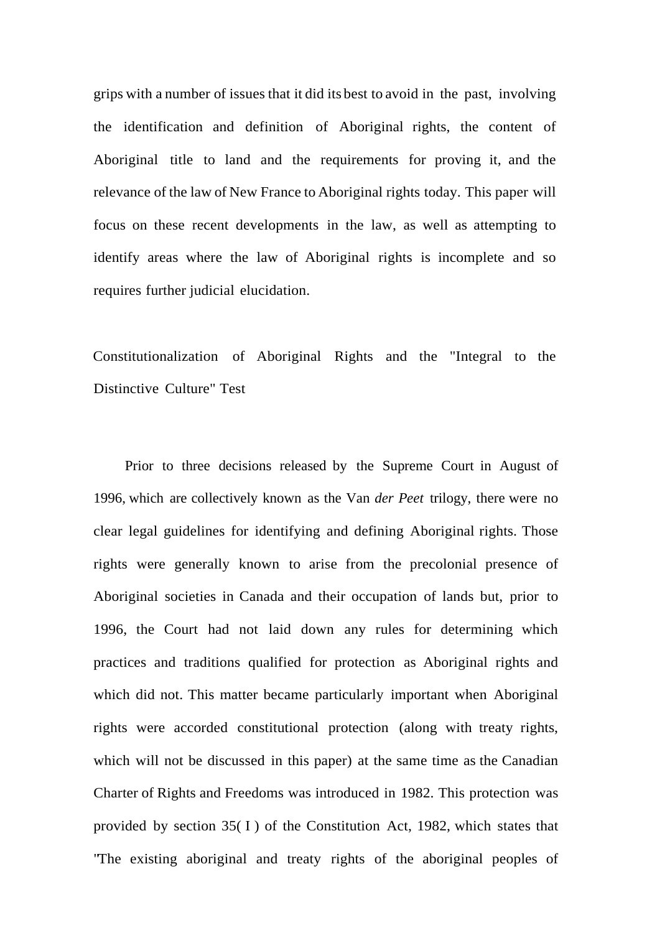grips with a number of issues that it did its best to avoid in the past, involving the identification and definition of Aboriginal rights, the content of Aboriginal title to land and the requirements for proving it, and the relevance of the law of New France to Aboriginal rights today. This paper will focus on these recent developments in the law, as well as attempting to identify areas where the law of Aboriginal rights is incomplete and so requires further judicial elucidation.

Constitutionalization of Aboriginal Rights and the "Integral to the Distinctive Culture" Test

Prior to three decisions released by the Supreme Court in August of 1996, which are collectively known as the Van *der Peet* trilogy, there were no clear legal guidelines for identifying and defining Aboriginal rights. Those rights were generally known to arise from the precolonial presence of Aboriginal societies in Canada and their occupation of lands but, prior to 1996, the Court had not laid down any rules for determining which practices and traditions qualified for protection as Aboriginal rights and which did not. This matter became particularly important when Aboriginal rights were accorded constitutional protection (along with treaty rights, which will not be discussed in this paper) at the same time as the Canadian Charter of Rights and Freedoms was introduced in 1982. This protection was provided by section  $35(1)$  of the Constitution Act, 1982, which states that "The existing aboriginal and treaty rights of the aboriginal peoples of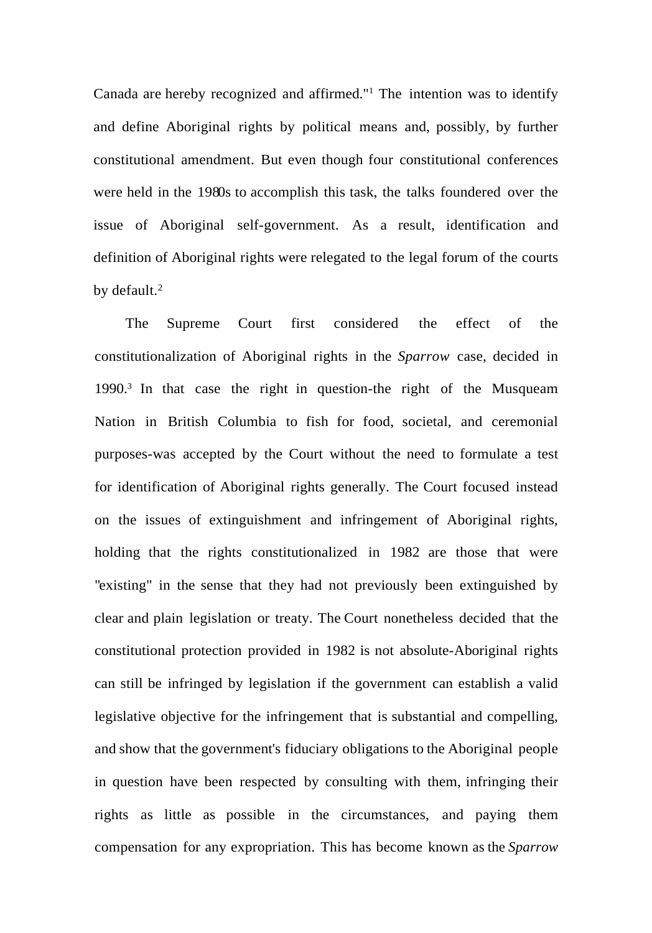Canada are hereby recognized and affirmed." <sup>1</sup> The intention was to identify and define Aboriginal rights by political means and, possibly, by further constitutional amendment. But even though four constitutional conferences were held in the 1980s to accomplish this task, the talks foundered over the issue of Aboriginal self-government. As a result, identification and definition of Aboriginal rights were relegated to the legal forum of the courts by default.<sup>2</sup>

The Supreme Court first considered the effect of the constitutionalization of Aboriginal rights in the *Sparrow* case, decided in 1990.<sup>3</sup> In that case the right in question-the right of the Musqueam Nation in British Columbia to fish for food, societal, and ceremonial purposes-was accepted by the Court without the need to formulate a test for identification of Aboriginal rights generally. The Court focused instead on the issues of extinguishment and infringement of Aboriginal rights, holding that the rights constitutionalized in 1982 are those that were "existing" in the sense that they had not previously been extinguished by clear and plain legislation or treaty. The Court nonetheless decided that the constitutional protection provided in 1982 is not absolute-Aboriginal rights can still be infringed by legislation if the government can establish a valid legislative objective for the infringement that is substantial and compelling, and show that the government's fiduciary obligations to the Aboriginal people in question have been respected by consulting with them, infringing their rights as little as possible in the circumstances, and paying them compensation for any expropriation. This has become known as the *Sparrow*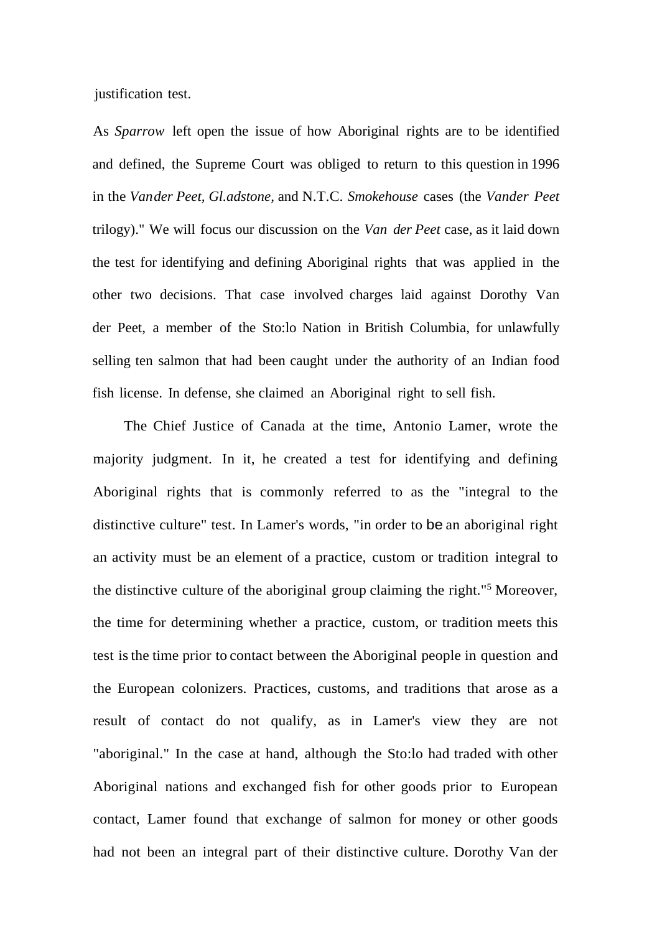justification test.

As *Sparrow* left open the issue of how Aboriginal rights are to be identified and defined, the Supreme Court was obliged to return to this question in 1996 in the *Vander Peet, Gl.adstone,* and N.T.C. *Smokehouse* cases (the *Vander Peet* trilogy)." We will focus our discussion on the *Van der Peet* case, as it laid down the test for identifying and defining Aboriginal rights that was applied in the other two decisions. That case involved charges laid against Dorothy Van der Peet, a member of the Sto:lo Nation in British Columbia, for unlawfully selling ten salmon that had been caught under the authority of an Indian food fish license. In defense, she claimed an Aboriginal right to sell fish.

The Chief Justice of Canada at the time, Antonio Lamer, wrote the majority judgment. In it, he created a test for identifying and defining Aboriginal rights that is commonly referred to as the "integral to the distinctive culture" test. In Lamer's words, "in order to be an aboriginal right an activity must be an element of a practice, custom or tradition integral to the distinctive culture of the aboriginal group claiming the right."<sup>5</sup> Moreover, the time for determining whether a practice, custom, or tradition meets this test isthe time prior to contact between the Aboriginal people in question and the European colonizers. Practices, customs, and traditions that arose as a result of contact do not qualify, as in Lamer's view they are not "aboriginal." In the case at hand, although the Sto:lo had traded with other Aboriginal nations and exchanged fish for other goods prior to European contact, Lamer found that exchange of salmon for money or other goods had not been an integral part of their distinctive culture. Dorothy Van der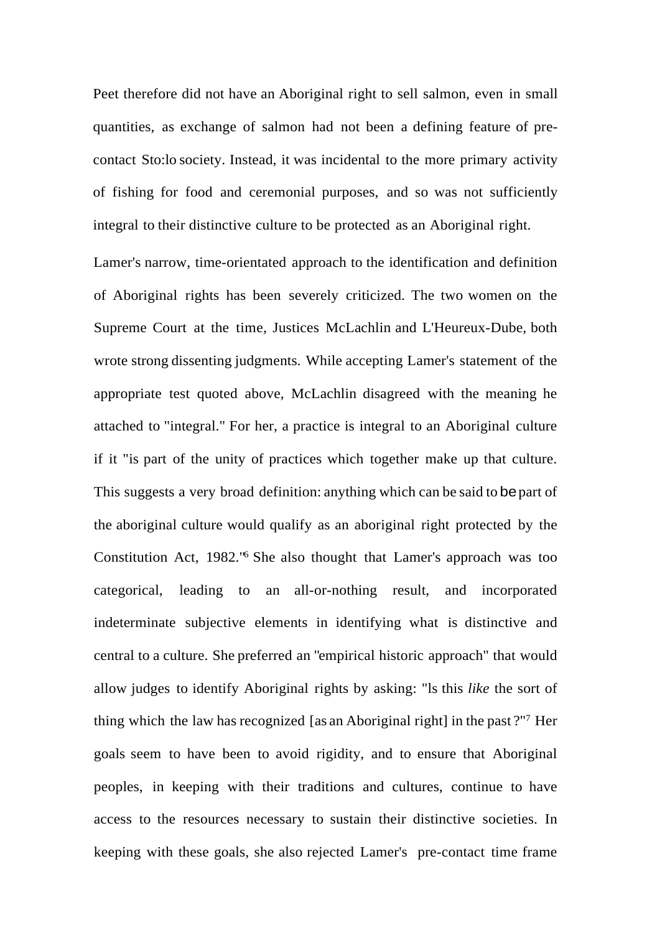Peet therefore did not have an Aboriginal right to sell salmon, even in small quantities, as exchange of salmon had not been a defining feature of precontact Sto:lo society. Instead, it was incidental to the more primary activity of fishing for food and ceremonial purposes, and so was not sufficiently integral to their distinctive culture to be protected as an Aboriginal right.

Lamer's narrow, time-orientated approach to the identification and definition of Aboriginal rights has been severely criticized. The two women on the Supreme Court at the time, Justices McLachlin and L'Heureux-Dube, both wrote strong dissenting judgments. While accepting Lamer's statement of the appropriate test quoted above, McLachlin disagreed with the meaning he attached to "integral." For her, a practice is integral to an Aboriginal culture if it "is part of the unity of practices which together make up that culture. This suggests a very broad definition: anything which can be said to be part of the aboriginal culture would qualify as an aboriginal right protected by the Constitution Act, 1982."<sup>6</sup> She also thought that Lamer's approach was too categorical, leading to an all-or-nothing result, and incorporated indeterminate subjective elements in identifying what is distinctive and central to a culture. She preferred an "empirical historic approach" that would allow judges to identify Aboriginal rights by asking: "ls this *like* the sort of thing which the law has recognized [as an Aboriginal right] in the past ?"<sup>7</sup> Her goals seem to have been to avoid rigidity, and to ensure that Aboriginal peoples, in keeping with their traditions and cultures, continue to have access to the resources necessary to sustain their distinctive societies. In keeping with these goals, she also rejected Lamer's pre-contact time frame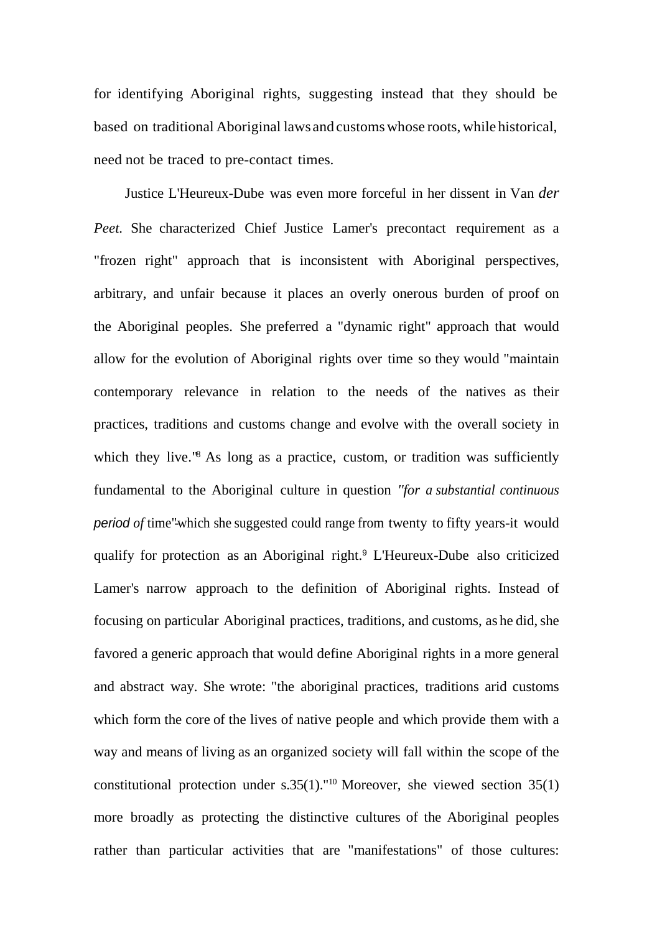for identifying Aboriginal rights, suggesting instead that they should be based on traditional Aboriginal laws and customswhose roots, while historical, need not be traced to pre-contact times.

Justice L'Heureux-Dube was even more forceful in her dissent in Van *der Peet.* She characterized Chief Justice Lamer's precontact requirement as a "frozen right" approach that is inconsistent with Aboriginal perspectives, arbitrary, and unfair because it places an overly onerous burden of proof on the Aboriginal peoples. She preferred a "dynamic right" approach that would allow for the evolution of Aboriginal rights over time so they would "maintain contemporary relevance in relation to the needs of the natives as their practices, traditions and customs change and evolve with the overall society in which they live.<sup>18</sup> As long as a practice, custom, or tradition was sufficiently fundamental to the Aboriginal culture in question *''for a substantial continuous period of* time"-which she suggested could range from twenty to fifty years-it would qualify for protection as an Aboriginal right.<sup>9</sup> L'Heureux-Dube also criticized Lamer's narrow approach to the definition of Aboriginal rights. Instead of focusing on particular Aboriginal practices, traditions, and customs, as he did, she favored a generic approach that would define Aboriginal rights in a more general and abstract way. She wrote: "the aboriginal practices, traditions arid customs which form the core of the lives of native people and which provide them with a way and means of living as an organized society will fall within the scope of the constitutional protection under s.35(1)."<sup>10</sup> Moreover, she viewed section 35(1) more broadly as protecting the distinctive cultures of the Aboriginal peoples rather than particular activities that are "manifestations" of those cultures: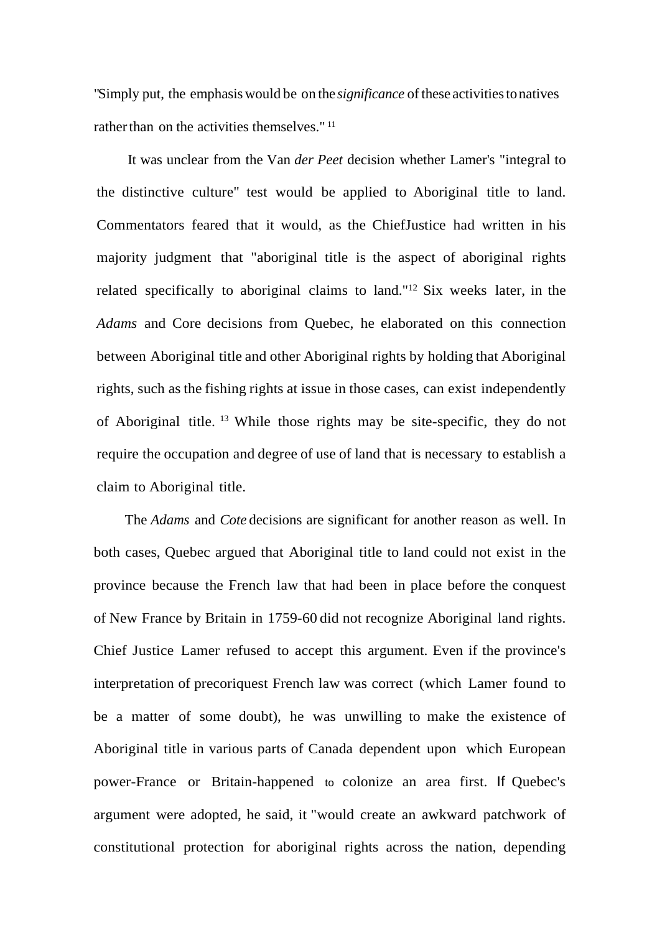"Simply put, the emphasis would be on the *significance* of these activities to natives rather than on the activities themselves." <sup>11</sup>

It was unclear from the Van *der Peet* decision whether Lamer's "integral to the distinctive culture" test would be applied to Aboriginal title to land. Commentators feared that it would, as the ChiefJustice had written in his majority judgment that "aboriginal title is the aspect of aboriginal rights related specifically to aboriginal claims to land."<sup>12</sup> Six weeks later, in the *Adams* and Core decisions from Quebec, he elaborated on this connection between Aboriginal title and other Aboriginal rights by holding that Aboriginal rights, such as the fishing rights at issue in those cases, can exist independently of Aboriginal title. <sup>13</sup> While those rights may be site-specific, they do not require the occupation and degree of use of land that is necessary to establish a claim to Aboriginal title.

The *Adams* and *Cote* decisions are significant for another reason as well. In both cases, Quebec argued that Aboriginal title to land could not exist in the province because the French law that had been in place before the conquest of New France by Britain in 1759-60 did not recognize Aboriginal land rights. Chief Justice Lamer refused to accept this argument. Even if the province's interpretation of precoriquest French law was correct (which Lamer found to be a matter of some doubt), he was unwilling to make the existence of Aboriginal title in various parts of Canada dependent upon which European power-France or Britain-happened to colonize an area first. If Quebec's argument were adopted, he said, it "would create an awkward patchwork of constitutional protection for aboriginal rights across the nation, depending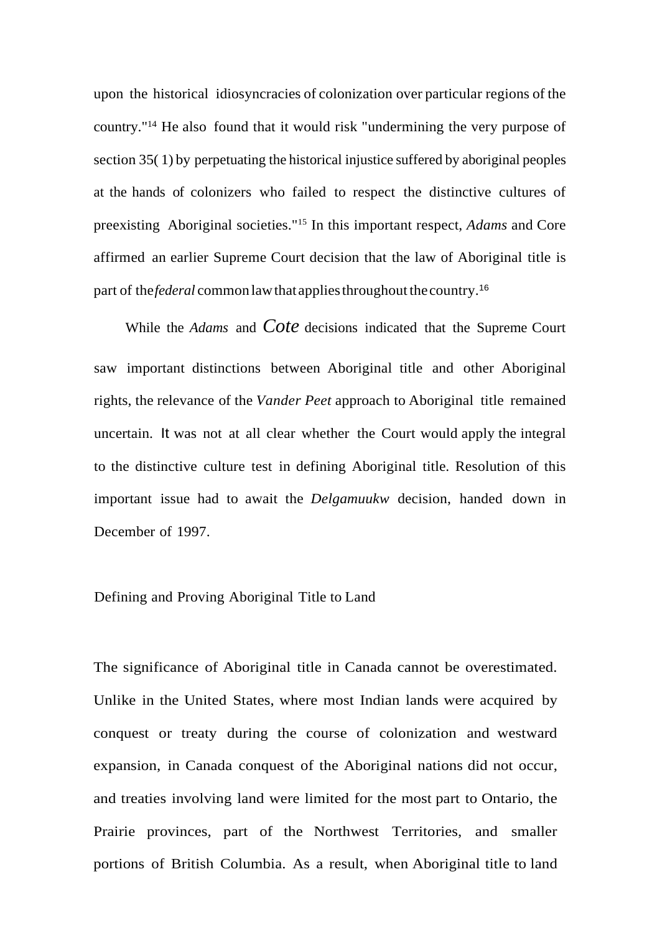upon the historical idiosyncracies of colonization over particular regions of the country." <sup>14</sup> He also found that it would risk "undermining the very purpose of section 35( 1) by perpetuating the historical injustice suffered by aboriginal peoples at the hands of colonizers who failed to respect the distinctive cultures of preexisting Aboriginal societies."<sup>15</sup> In this important respect, *Adams* and Core affirmed an earlier Supreme Court decision that the law of Aboriginal title is part of the*federal* common lawthat appliesthroughout thecountry.<sup>16</sup>

While the *Adams* and *Cote* decisions indicated that the Supreme Court saw important distinctions between Aboriginal title and other Aboriginal rights, the relevance of the *Vander Peet* approach to Aboriginal title remained uncertain. It was not at all clear whether the Court would apply the integral to the distinctive culture test in defining Aboriginal title. Resolution of this important issue had to await the *Delgamuukw* decision, handed down in December of 1997.

## Defining and Proving Aboriginal Title to Land

The significance of Aboriginal title in Canada cannot be overestimated. Unlike in the United States, where most Indian lands were acquired by conquest or treaty during the course of colonization and westward expansion, in Canada conquest of the Aboriginal nations did not occur, and treaties involving land were limited for the most part to Ontario, the Prairie provinces, part of the Northwest Territories, and smaller portions of British Columbia. As a result, when Aboriginal title to land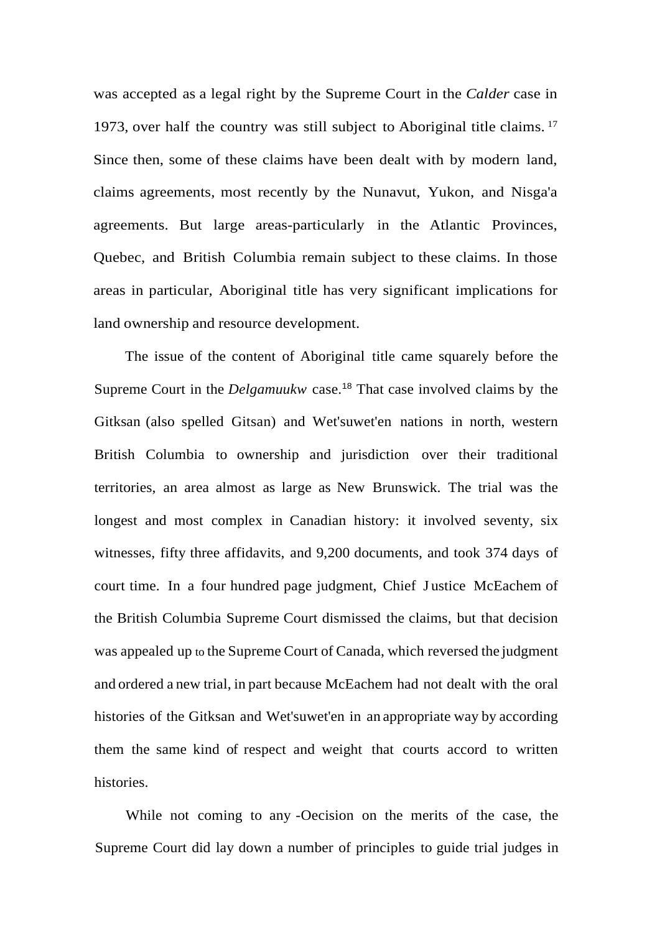was accepted as a legal right by the Supreme Court in the *Calder* case in 1973, over half the country was still subject to Aboriginal title claims. <sup>17</sup> Since then, some of these claims have been dealt with by modern land, claims agreements, most recently by the Nunavut, Yukon, and Nisga'a agreements. But large areas-particularly in the Atlantic Provinces, Quebec, and British Columbia remain subject to these claims. In those areas in particular, Aboriginal title has very significant implications for land ownership and resource development.

The issue of the content of Aboriginal title came squarely before the Supreme Court in the *Delgamuukw* case.<sup>18</sup> That case involved claims by the Gitksan (also spelled Gitsan) and Wet'suwet'en nations in north, western British Columbia to ownership and jurisdiction over their traditional territories, an area almost as large as New Brunswick. The trial was the longest and most complex in Canadian history: it involved seventy, six witnesses, fifty three affidavits, and 9,200 documents, and took 374 days of court time. In a four hundred page judgment, Chief J ustice McEachem of the British Columbia Supreme Court dismissed the claims, but that decision was appealed up to the Supreme Court of Canada, which reversed the judgment and ordered a new trial, in part because McEachem had not dealt with the oral histories of the Gitksan and Wet'suwet'en in an appropriate way by according them the same kind of respect and weight that courts accord to written histories.

While not coming to any -Oecision on the merits of the case, the Supreme Court did lay down a number of principles to guide trial judges in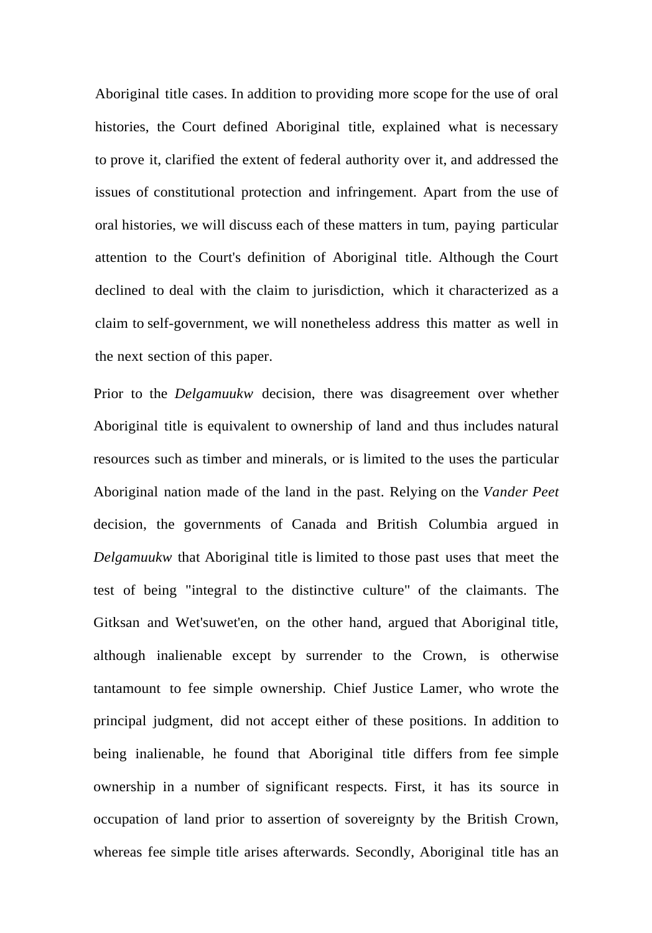Aboriginal title cases. In addition to providing more scope for the use of oral histories, the Court defined Aboriginal title, explained what is necessary to prove it, clarified the extent of federal authority over it, and addressed the issues of constitutional protection and infringement. Apart from the use of oral histories, we will discuss each of these matters in tum, paying particular attention to the Court's definition of Aboriginal title. Although the Court declined to deal with the claim to jurisdiction, which it characterized as a claim to self-government, we will nonetheless address this matter as well in the next section of this paper.

Prior to the *Delgamuukw* decision, there was disagreement over whether Aboriginal title is equivalent to ownership of land and thus includes natural resources such as timber and minerals, or is limited to the uses the particular Aboriginal nation made of the land in the past. Relying on the *Vander Peet* decision, the governments of Canada and British Columbia argued in *Delgamuukw* that Aboriginal title is limited to those past uses that meet the test of being "integral to the distinctive culture" of the claimants. The Gitksan and Wet'suwet'en, on the other hand, argued that Aboriginal title, although inalienable except by surrender to the Crown, is otherwise tantamount to fee simple ownership. Chief Justice Lamer, who wrote the principal judgment, did not accept either of these positions. In addition to being inalienable, he found that Aboriginal title differs from fee simple ownership in a number of significant respects. First, it has its source in occupation of land prior to assertion of sovereignty by the British Crown, whereas fee simple title arises afterwards. Secondly, Aboriginal title has an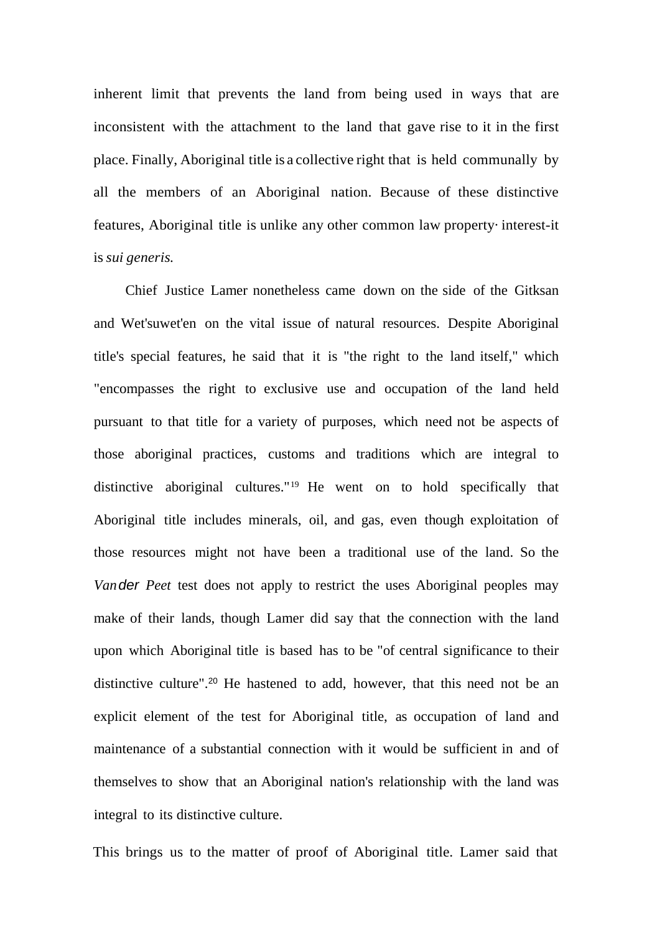inherent limit that prevents the land from being used in ways that are inconsistent with the attachment to the land that gave rise to it in the first place. Finally, Aboriginal title is a collective right that is held communally by all the members of an Aboriginal nation. Because of these distinctive features, Aboriginal title is unlike any other common law property·interest-it is*sui generis.*

Chief Justice Lamer nonetheless came down on the side of the Gitksan and Wet'suwet'en on the vital issue of natural resources. Despite Aboriginal title's special features, he said that it is "the right to the land itself," which "encompasses the right to exclusive use and occupation of the land held pursuant to that title for a variety of purposes, which need not be aspects of those aboriginal practices, customs and traditions which are integral to distinctive aboriginal cultures." <sup>19</sup> He went on to hold specifically that Aboriginal title includes minerals, oil, and gas, even though exploitation of those resources might not have been a traditional use of the land. So the *Vander Peet* test does not apply to restrict the uses Aboriginal peoples may make of their lands, though Lamer did say that the connection with the land upon which Aboriginal title is based has to be "of central significance to their distinctive culture".<sup>20</sup> He hastened to add, however, that this need not be an explicit element of the test for Aboriginal title, as occupation of land and maintenance of a substantial connection with it would be sufficient in and of themselves to show that an Aboriginal nation's relationship with the land was integral to its distinctive culture.

This brings us to the matter of proof of Aboriginal title. Lamer said that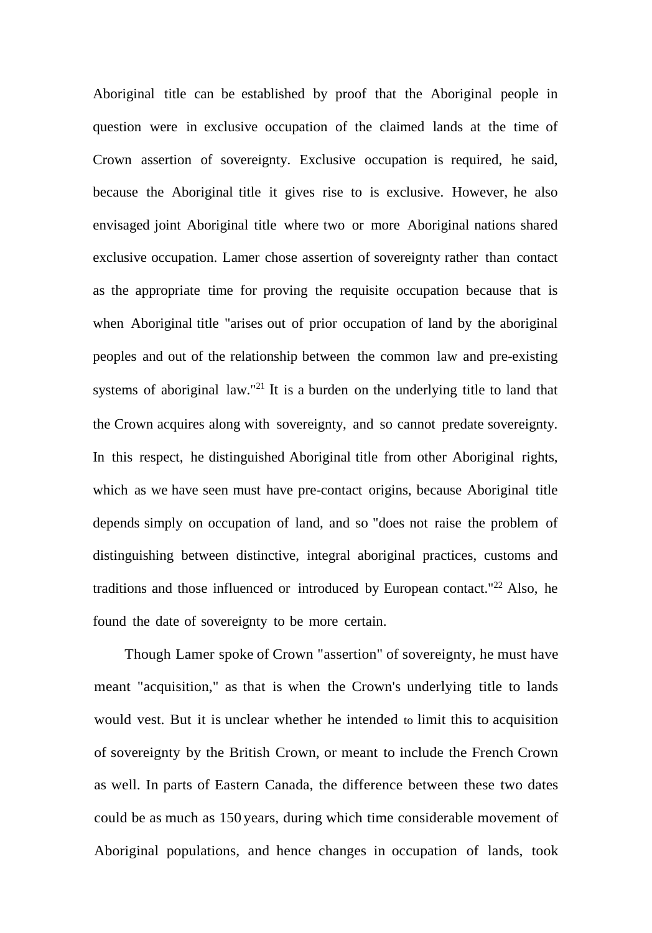Aboriginal title can be established by proof that the Aboriginal people in question were in exclusive occupation of the claimed lands at the time of Crown assertion of sovereignty. Exclusive occupation is required, he said, because the Aboriginal title it gives rise to is exclusive. However, he also envisaged joint Aboriginal title where two or more Aboriginal nations shared exclusive occupation. Lamer chose assertion of sovereignty rather than contact as the appropriate time for proving the requisite occupation because that is when Aboriginal title "arises out of prior occupation of land by the aboriginal peoples and out of the relationship between the common law and pre-existing systems of aboriginal law."<sup>21</sup> It is a burden on the underlying title to land that the Crown acquires along with sovereignty, and so cannot predate sovereignty. In this respect, he distinguished Aboriginal title from other Aboriginal rights, which as we have seen must have pre-contact origins, because Aboriginal title depends simply on occupation of land, and so "does not raise the problem of distinguishing between distinctive, integral aboriginal practices, customs and traditions and those influenced or introduced by European contact."<sup>22</sup> Also, he found the date of sovereignty to be more certain.

Though Lamer spoke of Crown "assertion" of sovereignty, he must have meant "acquisition," as that is when the Crown's underlying title to lands would vest. But it is unclear whether he intended to limit this to acquisition of sovereignty by the British Crown, or meant to include the French Crown as well. In parts of Eastern Canada, the difference between these two dates could be as much as 150 years, during which time considerable movement of Aboriginal populations, and hence changes in occupation of lands, took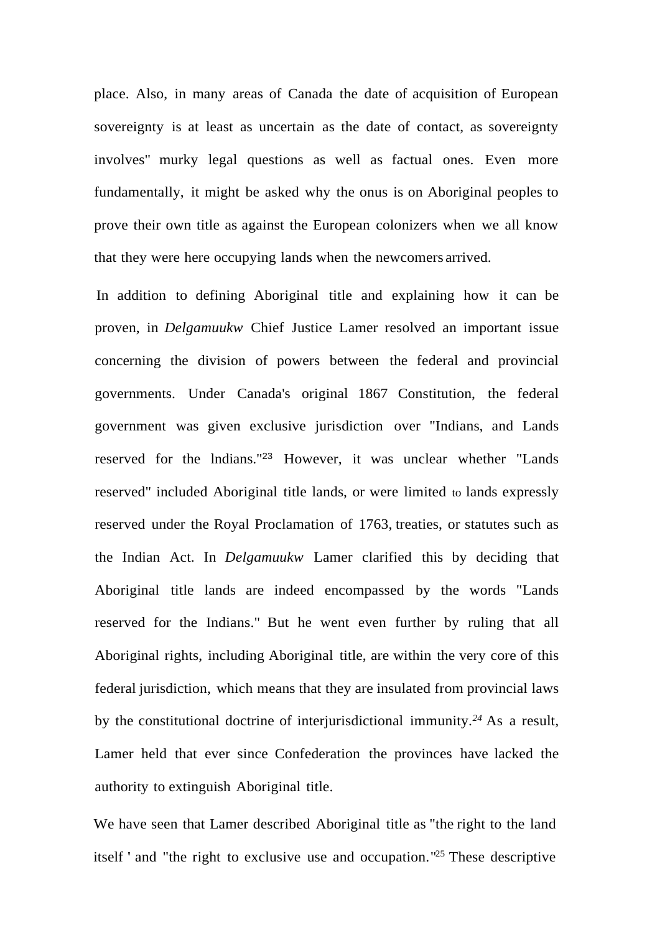place. Also, in many areas of Canada the date of acquisition of European sovereignty is at least as uncertain as the date of contact, as sovereignty involves" murky legal questions as well as factual ones. Even more fundamentally, it might be asked why the onus is on Aboriginal peoples to prove their own title as against the European colonizers when we all know that they were here occupying lands when the newcomers arrived.

In addition to defining Aboriginal title and explaining how it can be proven, in *Delgamuukw* Chief Justice Lamer resolved an important issue concerning the division of powers between the federal and provincial governments. Under Canada's original 1867 Constitution, the federal government was given exclusive jurisdiction over "Indians, and Lands reserved for the lndians."<sup>23</sup> However, it was unclear whether "Lands reserved" included Aboriginal title lands, or were limited to lands expressly reserved under the Royal Proclamation of 1763, treaties, or statutes such as the Indian Act. In *Delgamuukw* Lamer clarified this by deciding that Aboriginal title lands are indeed encompassed by the words "Lands reserved for the Indians." But he went even further by ruling that all Aboriginal rights, including Aboriginal title, are within the very core of this federal jurisdiction, which means that they are insulated from provincial laws by the constitutional doctrine of interjurisdictional immunity.*<sup>24</sup>* As a result, Lamer held that ever since Confederation the provinces have lacked the authority to extinguish Aboriginal title.

We have seen that Lamer described Aboriginal title as "the right to the land itself ' and "the right to exclusive use and occupation." <sup>25</sup> These descriptive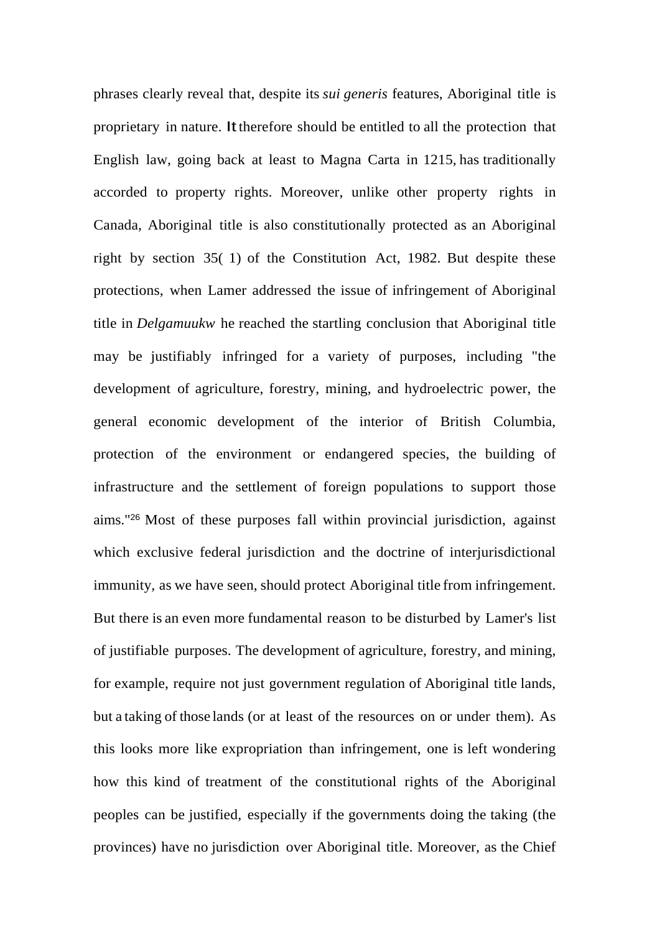phrases clearly reveal that, despite its *sui generis* features, Aboriginal title is proprietary in nature. Ittherefore should be entitled to all the protection that English law, going back at least to Magna Carta in 1215, has traditionally accorded to property rights. Moreover, unlike other property rights in Canada, Aboriginal title is also constitutionally protected as an Aboriginal right by section 35( 1) of the Constitution Act, 1982. But despite these protections, when Lamer addressed the issue of infringement of Aboriginal title in *Delgamuukw* he reached the startling conclusion that Aboriginal title may be justifiably infringed for a variety of purposes, including "the development of agriculture, forestry, mining, and hydroelectric power, the general economic development of the interior of British Columbia, protection of the environment or endangered species, the building of infrastructure and the settlement of foreign populations to support those aims." <sup>26</sup> Most of these purposes fall within provincial jurisdiction, against which exclusive federal jurisdiction and the doctrine of interjurisdictional immunity, as we have seen, should protect Aboriginal title from infringement. But there is an even more fundamental reason to be disturbed by Lamer's list of justifiable purposes. The development of agriculture, forestry, and mining, for example, require not just government regulation of Aboriginal title lands, but a taking of those lands (or at least of the resources on or under them). As this looks more like expropriation than infringement, one is left wondering how this kind of treatment of the constitutional rights of the Aboriginal peoples can be justified, especially if the governments doing the taking (the provinces) have no jurisdiction over Aboriginal title. Moreover, as the Chief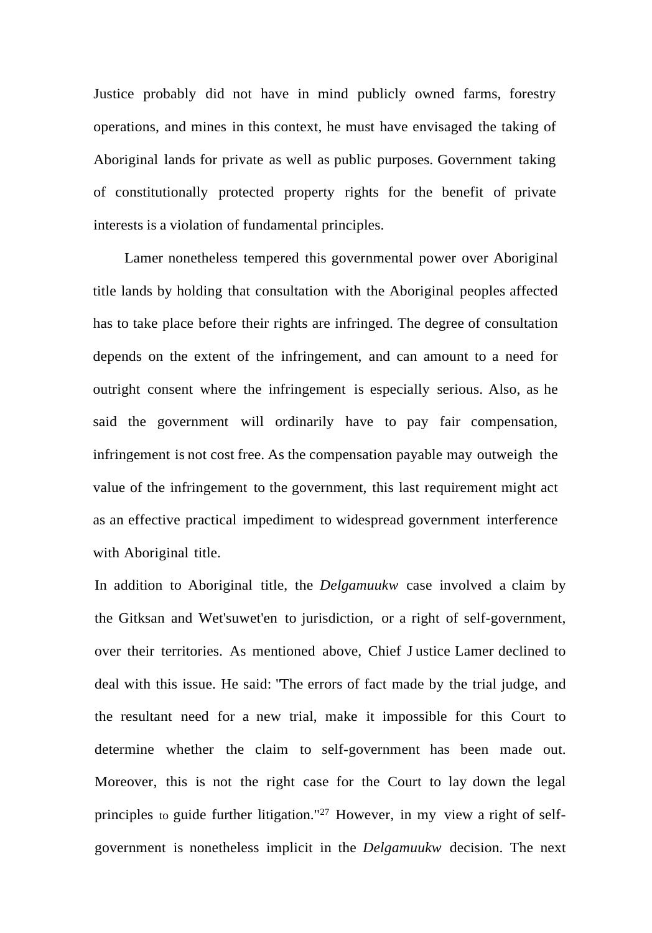Justice probably did not have in mind publicly owned farms, forestry operations, and mines in this context, he must have envisaged the taking of Aboriginal lands for private as well as public purposes. Government taking of constitutionally protected property rights for the benefit of private interests is a violation of fundamental principles.

Lamer nonetheless tempered this governmental power over Aboriginal title lands by holding that consultation with the Aboriginal peoples affected has to take place before their rights are infringed. The degree of consultation depends on the extent of the infringement, and can amount to a need for outright consent where the infringement is especially serious. Also, as he said the government will ordinarily have to pay fair compensation, infringement is not cost free. As the compensation payable may outweigh the value of the infringement to the government, this last requirement might act as an effective practical impediment to widespread government interference with Aboriginal title.

In addition to Aboriginal title, the *Delgamuukw* case involved a claim by the Gitksan and Wet'suwet'en to jurisdiction, or a right of self-government, over their territories. As mentioned above, Chief J ustice Lamer declined to deal with this issue. He said: "The errors of fact made by the trial judge, and the resultant need for a new trial, make it impossible for this Court to determine whether the claim to self-government has been made out. Moreover, this is not the right case for the Court to lay down the legal principles to guide further litigation."<sup>27</sup> However, in my view a right of selfgovernment is nonetheless implicit in the *Delgamuukw* decision. The next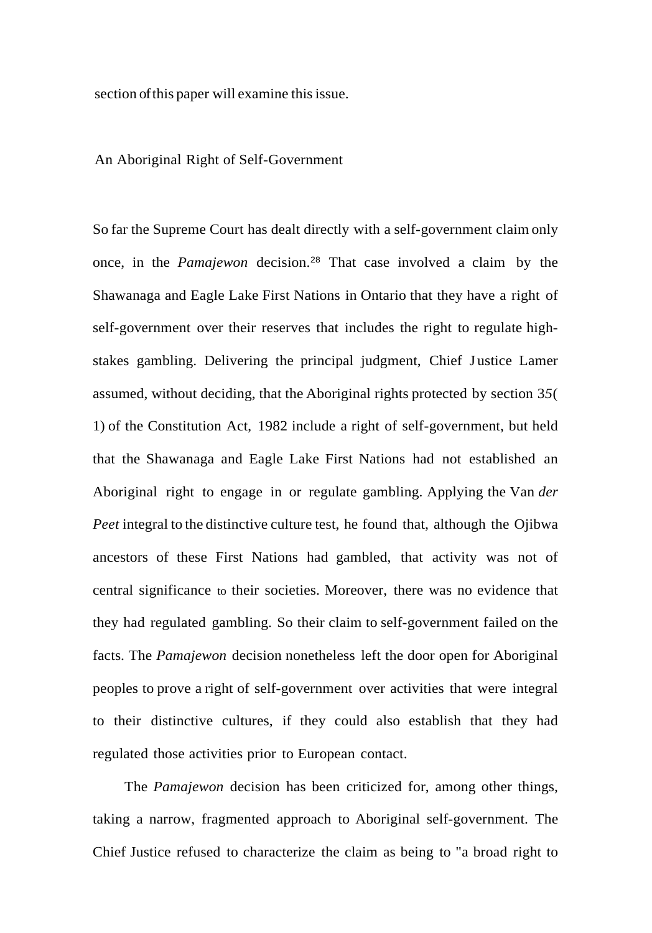section of this paper will examine this issue.

#### An Aboriginal Right of Self-Government

So far the Supreme Court has dealt directly with a self-government claim only once, in the *Pamajewon* decision.<sup>28</sup> That case involved a claim by the Shawanaga and Eagle Lake First Nations in Ontario that they have a right of self-government over their reserves that includes the right to regulate highstakes gambling. Delivering the principal judgment, Chief J ustice Lamer assumed, without deciding, that the Aboriginal rights protected by section 3*5*( 1) of the Constitution Act, 1982 include a right of self-government, but held that the Shawanaga and Eagle Lake First Nations had not established an Aboriginal right to engage in or regulate gambling. Applying the Van *der Peet* integral to the distinctive culture test, he found that, although the Ojibwa ancestors of these First Nations had gambled, that activity was not of central significance to their societies. Moreover, there was no evidence that they had regulated gambling. So their claim to self-government failed on the facts. The *Pamajewon* decision nonetheless left the door open for Aboriginal peoples to prove a right of self-government over activities that were integral to their distinctive cultures, if they could also establish that they had regulated those activities prior to European contact.

The *Pamajewon* decision has been criticized for, among other things, taking a narrow, fragmented approach to Aboriginal self-government. The Chief Justice refused to characterize the claim as being to "a broad right to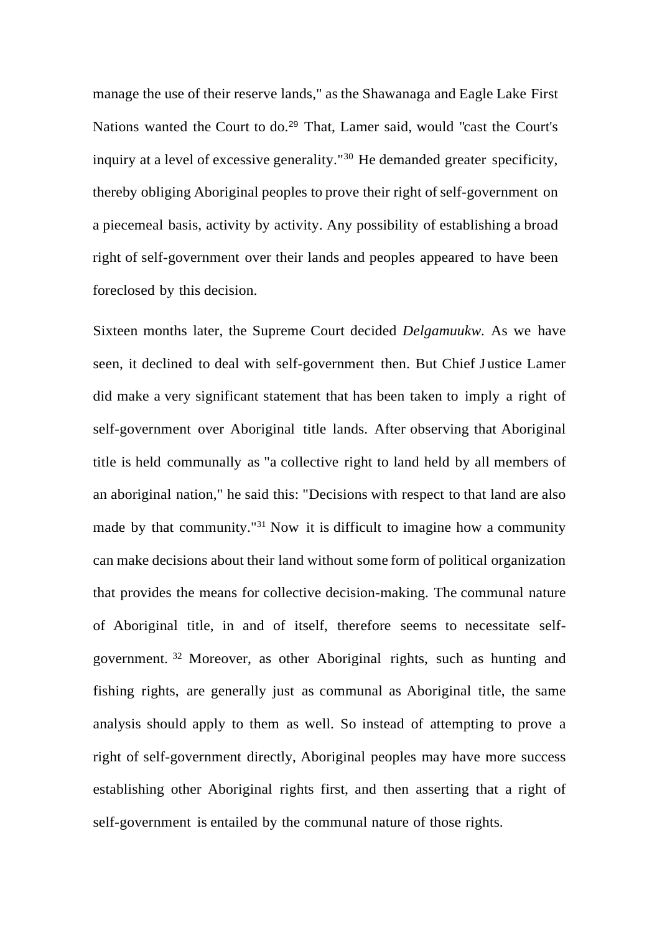manage the use of their reserve lands," as the Shawanaga and Eagle Lake First Nations wanted the Court to do.<sup>29</sup> That, Lamer said, would "cast the Court's" inquiry at a level of excessive generality."<sup>30</sup> He demanded greater specificity, thereby obliging Aboriginal peoples to prove their right of self-government on a piecemeal basis, activity by activity. Any possibility of establishing a broad right of self-government over their lands and peoples appeared to have been foreclosed by this decision.

Sixteen months later, the Supreme Court decided *Delgamuukw.* As we have seen, it declined to deal with self-government then. But Chief J ustice Lamer did make a very significant statement that has been taken to imply a right of self-government over Aboriginal title lands. After observing that Aboriginal title is held communally as "a collective right to land held by all members of an aboriginal nation," he said this: "Decisions with respect to that land are also made by that community."<sup>31</sup> Now it is difficult to imagine how a community can make decisions about their land without some form of political organization that provides the means for collective decision-making. The communal nature of Aboriginal title, in and of itself, therefore seems to necessitate selfgovernment. <sup>32</sup> Moreover, as other Aboriginal rights, such as hunting and fishing rights, are generally just as communal as Aboriginal title, the same analysis should apply to them as well. So instead of attempting to prove a right of self-government directly, Aboriginal peoples may have more success establishing other Aboriginal rights first, and then asserting that a right of self-government is entailed by the communal nature of those rights.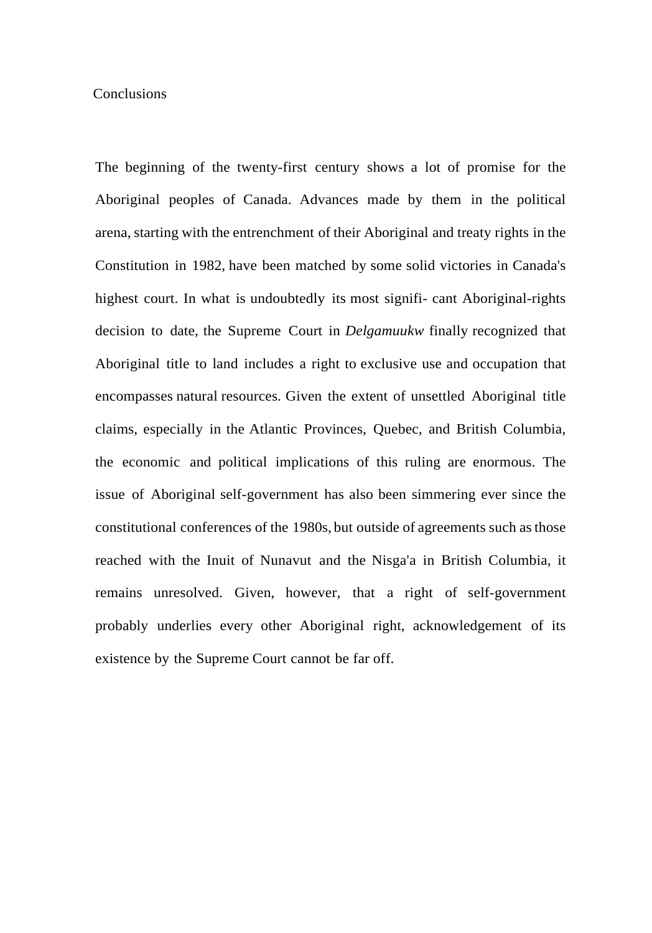### **Conclusions**

The beginning of the twenty-first century shows a lot of promise for the Aboriginal peoples of Canada. Advances made by them in the political arena, starting with the entrenchment of their Aboriginal and treaty rights in the Constitution in 1982, have been matched by some solid victories in Canada's highest court. In what is undoubtedly its most signifi- cant Aboriginal-rights decision to date, the Supreme Court in *Delgamuukw* finally recognized that Aboriginal title to land includes a right to exclusive use and occupation that encompasses natural resources. Given the extent of unsettled Aboriginal title claims, especially in the Atlantic Provinces, Quebec, and British Columbia, the economic and political implications of this ruling are enormous. The issue of Aboriginal self-government has also been simmering ever since the constitutional conferences of the 1980s, but outside of agreements such asthose reached with the Inuit of Nunavut and the Nisga'a in British Columbia, it remains unresolved. Given, however, that a right of self-government probably underlies every other Aboriginal right, acknowledgement of its existence by the Supreme Court cannot be far off.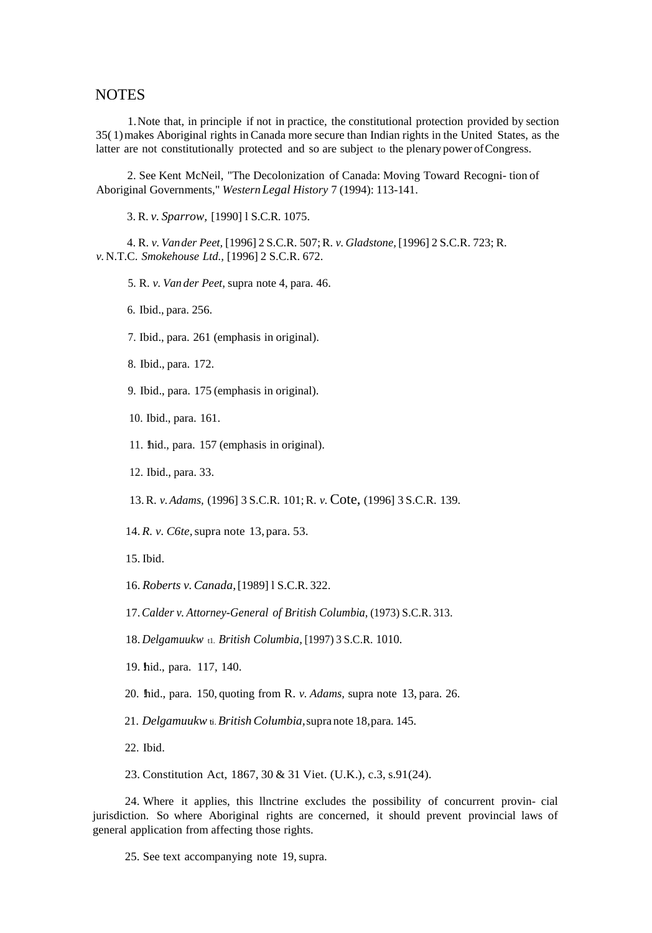### **NOTES**

1.Note that, in principle if not in practice, the constitutional protection provided by section 35( 1)makes Aboriginal rights inCanada more secure than Indian rights in the United States, as the latter are not constitutionally protected and so are subject to the plenary power ofCongress.

2. See Kent McNeil, "The Decolonization of Canada: Moving Toward Recogni- tion of Aboriginal Governments," *WesternLegal History* 7 (1994): 113-141.

3. R. *v. Sparrow,* [1990] l S.C.R. 1075.

4. R. *v. Vander Peet,* [1996] 2 S.C.R. 507;R. *v. Gladstone,*[1996] 2 S.C.R. 723; R. *v.*N.T.C. *Smokehouse Ltd.,* [1996] 2 S.C.R. 672.

5. R. *v. Van der Peet,* supra note 4, para. 46.

6. Ibid., para. 256.

7. Ibid., para. 261 (emphasis in original).

8. Ibid., para. 172.

9. Ibid., para. 175 (emphasis in original).

10. Ibid., para. 161.

11. hid., para. 157 (emphasis in original).

12. Ibid., para. 33.

13.R. *v.Adams,* (1996] 3 S.C.R. 101;R. *v.*Cote, (1996] 3 S.C.R. 139.

14. *R. v. C6te,*supra note 13, para. 53.

15. Ibid.

16. *Roberts v.Canada,*[1989] l S.C.R. 322.

17.*Calder v. Attorney-General of British Columbia,* (1973) S.C.R. 313.

18. *Delgamuukw* t1. *British Columbia,* [1997) 3 S.C.R. 1010.

19. hid., para. 117, 140.

20. !hid., para. 150, quoting from R. *v. Adams,* supra note 13, para. 26.

21. *Delgamuukw* ti.*BritishColumbia,*supra note 18,para. 145.

22. Ibid.

23. Constitution Act, 1867, 30 & 31 Viet. (U.K.), c.3, s.91(24).

24. Where it applies, this llnctrine excludes the possibility of concurrent provin- cial jurisdiction. So where Aboriginal rights are concerned, it should prevent provincial laws of general application from affecting those rights.

25. See text accompanying note 19,supra.